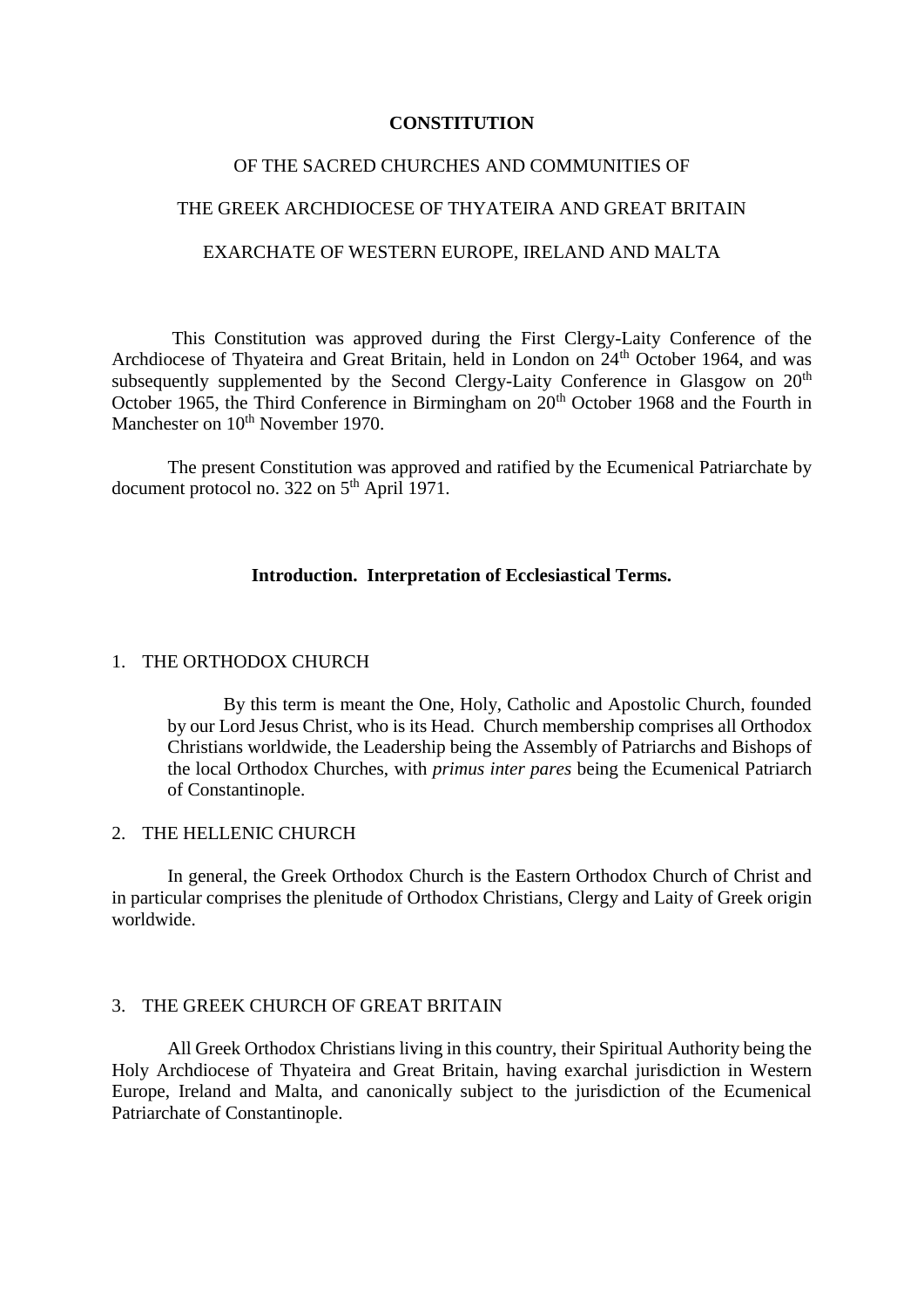#### **CONSTITUTION**

#### OF THE SACRED CHURCHES AND COMMUNITIES OF

#### THE GREEK ARCHDIOCESE OF THYATEIRA AND GREAT BRITAIN

# EXARCHATE OF WESTERN EUROPE, IRELAND AND MALTA

 This Constitution was approved during the First Clergy-Laity Conference of the Archdiocese of Thyateira and Great Britain, held in London on 24<sup>th</sup> October 1964, and was subsequently supplemented by the Second Clergy-Laity Conference in Glasgow on  $20<sup>th</sup>$ October 1965, the Third Conference in Birmingham on 20<sup>th</sup> October 1968 and the Fourth in Manchester on 10<sup>th</sup> November 1970.

 The present Constitution was approved and ratified by the Ecumenical Patriarchate by document protocol no. 322 on 5<sup>th</sup> April 1971.

#### **Introduction. Interpretation of Ecclesiastical Terms.**

#### 1. THE ORTHODOX CHURCH

By this term is meant the One, Holy, Catholic and Apostolic Church, founded by our Lord Jesus Christ, who is its Head. Church membership comprises all Orthodox Christians worldwide, the Leadership being the Assembly of Patriarchs and Bishops of the local Orthodox Churches, with *primus inter pares* being the Ecumenical Patriarch of Constantinople.

# 2. THE HELLENIC CHURCH

In general, the Greek Orthodox Church is the Eastern Orthodox Church of Christ and in particular comprises the plenitude of Orthodox Christians, Clergy and Laity of Greek origin worldwide.

#### 3. THE GREEK CHURCH OF GREAT BRITAIN

All Greek Orthodox Christians living in this country, their Spiritual Authority being the Holy Archdiocese of Thyateira and Great Britain, having exarchal jurisdiction in Western Europe, Ireland and Malta, and canonically subject to the jurisdiction of the Ecumenical Patriarchate of Constantinople.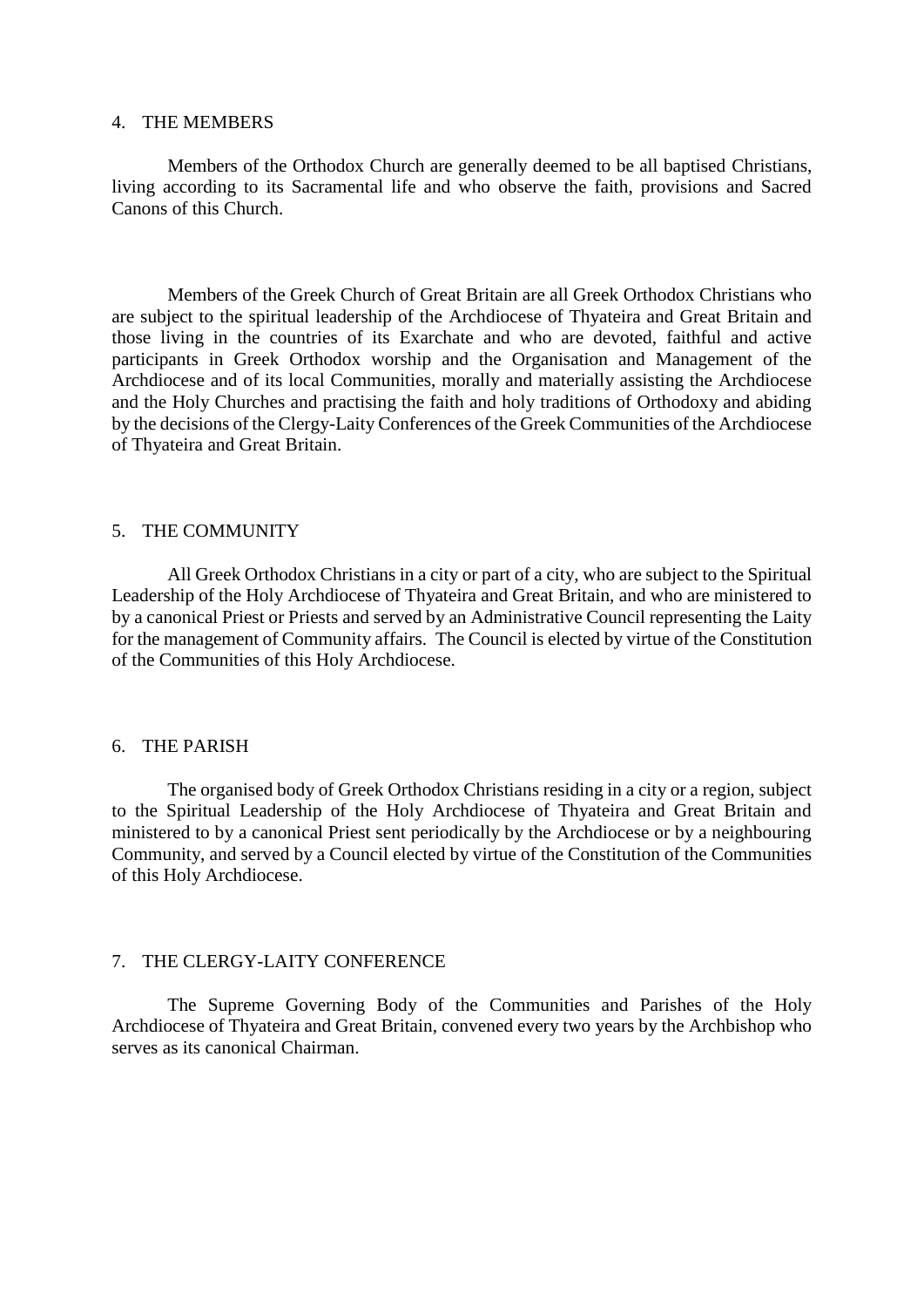#### 4. THE MEMBERS

Members of the Orthodox Church are generally deemed to be all baptised Christians, living according to its Sacramental life and who observe the faith, provisions and Sacred Canons of this Church.

Members of the Greek Church of Great Britain are all Greek Orthodox Christians who are subject to the spiritual leadership of the Archdiocese of Thyateira and Great Britain and those living in the countries of its Exarchate and who are devoted, faithful and active participants in Greek Orthodox worship and the Organisation and Management of the Archdiocese and of its local Communities, morally and materially assisting the Archdiocese and the Holy Churches and practising the faith and holy traditions of Orthodoxy and abiding by the decisions of the Clergy-Laity Conferences of the Greek Communities of the Archdiocese of Thyateira and Great Britain.

### 5. THE COMMUNITY

All Greek Orthodox Christians in a city or part of a city, who are subject to the Spiritual Leadership of the Holy Archdiocese of Thyateira and Great Britain, and who are ministered to by a canonical Priest or Priests and served by an Administrative Council representing the Laity for the management of Community affairs. The Council is elected by virtue of the Constitution of the Communities of this Holy Archdiocese.

#### 6. THE PARISH

The organised body of Greek Orthodox Christians residing in a city or a region, subject to the Spiritual Leadership of the Holy Archdiocese of Thyateira and Great Britain and ministered to by a canonical Priest sent periodically by the Archdiocese or by a neighbouring Community, and served by a Council elected by virtue of the Constitution of the Communities of this Holy Archdiocese.

### 7. THE CLERGY-LAITY CONFERENCE

The Supreme Governing Body of the Communities and Parishes of the Holy Archdiocese of Thyateira and Great Britain, convened every two years by the Archbishop who serves as its canonical Chairman.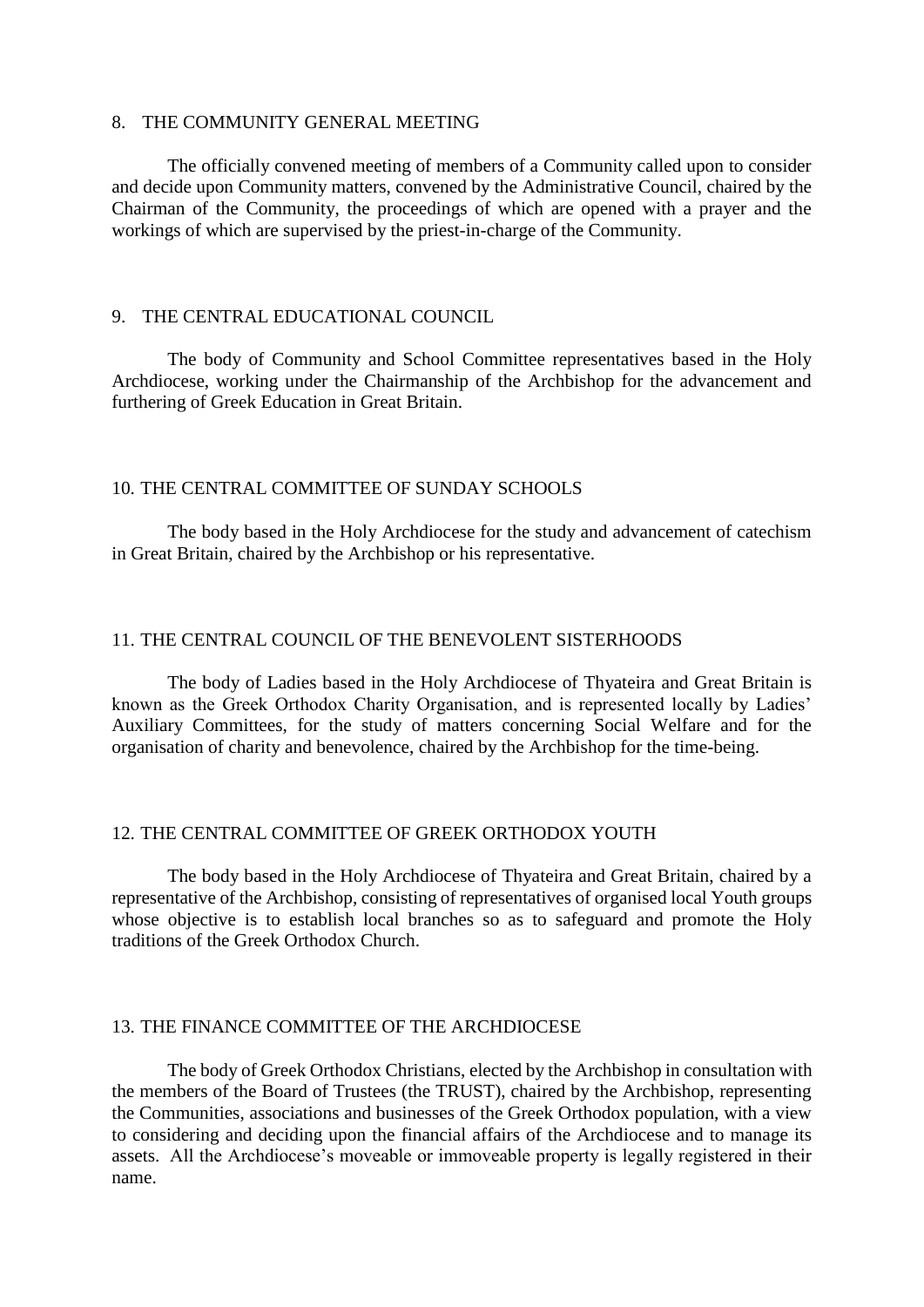#### 8. THE COMMUNITY GENERAL MEETING

The officially convened meeting of members of a Community called upon to consider and decide upon Community matters, convened by the Administrative Council, chaired by the Chairman of the Community, the proceedings of which are opened with a prayer and the workings of which are supervised by the priest-in-charge of the Community.

# 9. THE CENTRAL EDUCATIONAL COUNCIL

The body of Community and School Committee representatives based in the Holy Archdiocese, working under the Chairmanship of the Archbishop for the advancement and furthering of Greek Education in Great Britain.

## 10. THE CENTRAL COMMITTEE OF SUNDAY SCHOOLS

The body based in the Holy Archdiocese for the study and advancement of catechism in Great Britain, chaired by the Archbishop or his representative.

# 11. THE CENTRAL COUNCIL OF THE BENEVOLENT SISTERHOODS

The body of Ladies based in the Holy Archdiocese of Thyateira and Great Britain is known as the Greek Orthodox Charity Organisation, and is represented locally by Ladies' Auxiliary Committees, for the study of matters concerning Social Welfare and for the organisation of charity and benevolence, chaired by the Archbishop for the time-being.

#### 12. THE CENTRAL COMMITTEE OF GREEK ORTHODOX YOUTH

The body based in the Holy Archdiocese of Thyateira and Great Britain, chaired by a representative of the Archbishop, consisting of representatives of organised local Youth groups whose objective is to establish local branches so as to safeguard and promote the Holy traditions of the Greek Orthodox Church.

### 13. THE FINANCE COMMITTEE OF THE ARCHDIOCESE

The body of Greek Orthodox Christians, elected by the Archbishop in consultation with the members of the Board of Trustees (the TRUST), chaired by the Archbishop, representing the Communities, associations and businesses of the Greek Orthodox population, with a view to considering and deciding upon the financial affairs of the Archdiocese and to manage its assets. All the Archdiocese's moveable or immoveable property is legally registered in their name.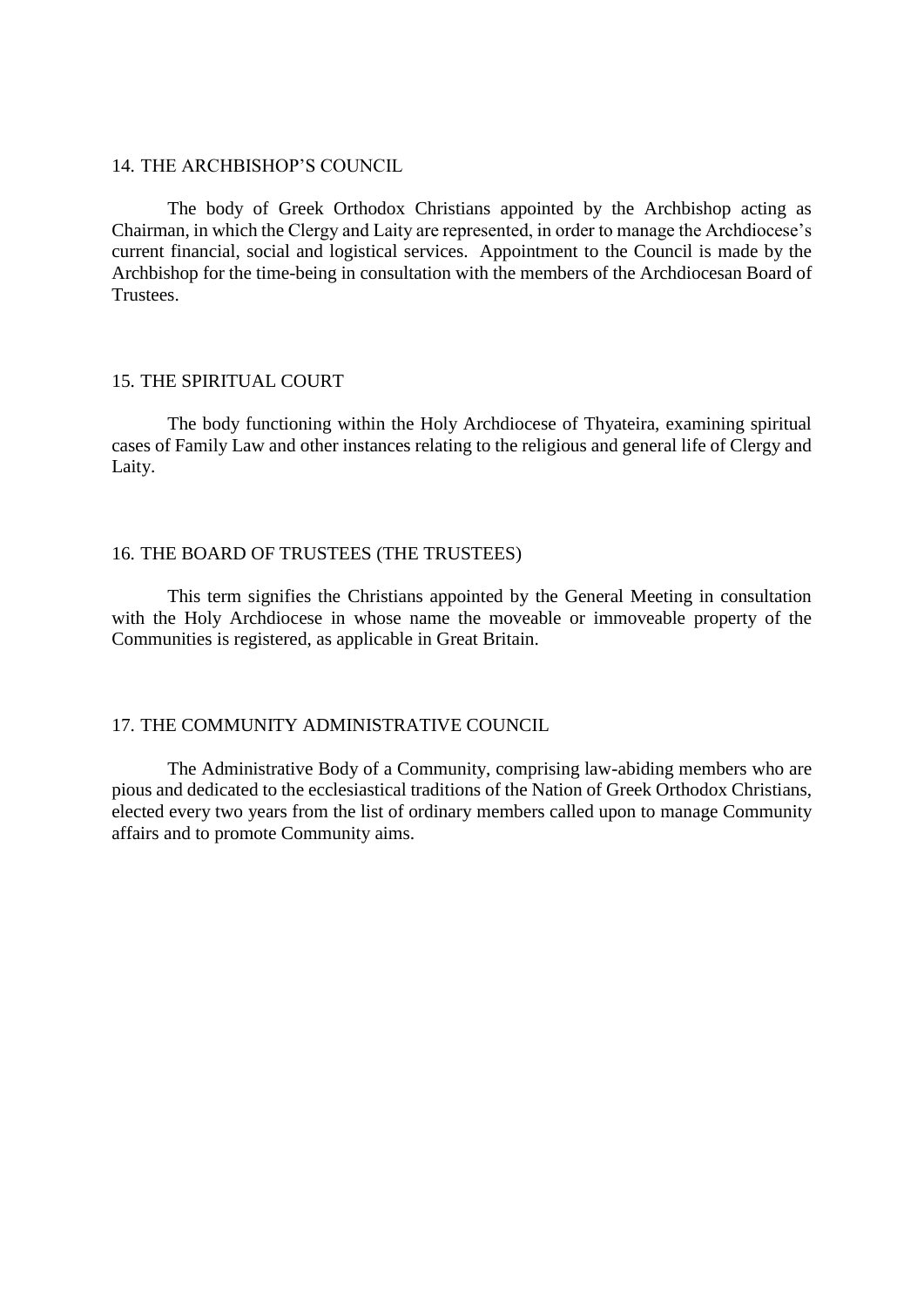#### 14. THE ARCHBISHOP'S COUNCIL

The body of Greek Orthodox Christians appointed by the Archbishop acting as Chairman, in which the Clergy and Laity are represented, in order to manage the Archdiocese's current financial, social and logistical services. Appointment to the Council is made by the Archbishop for the time-being in consultation with the members of the Archdiocesan Board of Trustees.

## 15. THE SPIRITUAL COURT

The body functioning within the Holy Archdiocese of Thyateira, examining spiritual cases of Family Law and other instances relating to the religious and general life of Clergy and Laity.

# 16. THE BOARD OF TRUSTEES (THE TRUSTEES)

This term signifies the Christians appointed by the General Meeting in consultation with the Holy Archdiocese in whose name the moveable or immoveable property of the Communities is registered, as applicable in Great Britain.

## 17. THE COMMUNITY ADMINISTRATIVE COUNCIL

The Administrative Body of a Community, comprising law-abiding members who are pious and dedicated to the ecclesiastical traditions of the Nation of Greek Orthodox Christians, elected every two years from the list of ordinary members called upon to manage Community affairs and to promote Community aims.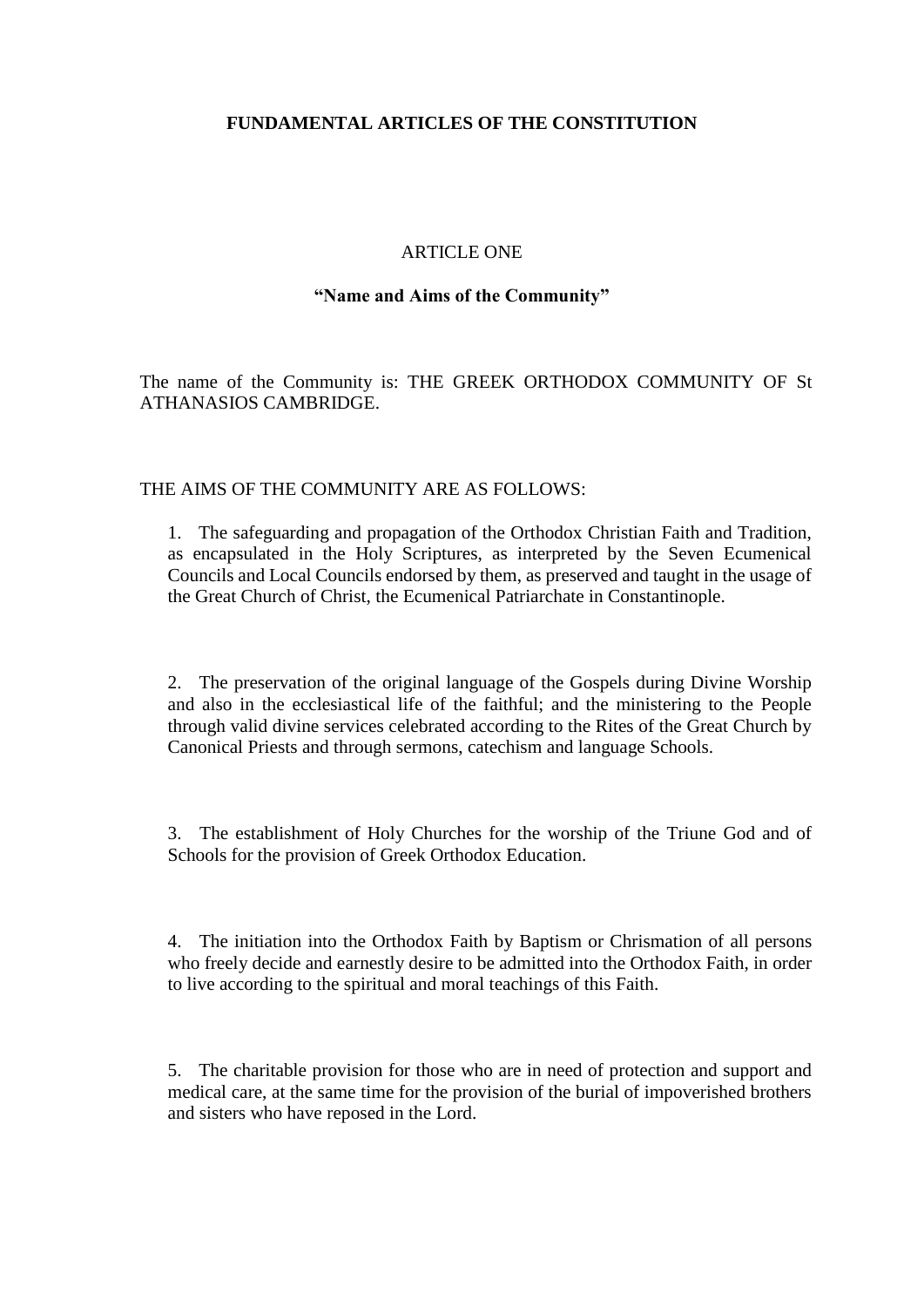# **FUNDAMENTAL ARTICLES OF THE CONSTITUTION**

## ARTICLE ONE

### **"Name and Aims of the Community"**

The name of the Community is: THE GREEK ORTHODOX COMMUNITY OF St ATHANASIOS CAMBRIDGE.

### THE AIMS OF THE COMMUNITY ARE AS FOLLOWS:

1. The safeguarding and propagation of the Orthodox Christian Faith and Tradition, as encapsulated in the Holy Scriptures, as interpreted by the Seven Ecumenical Councils and Local Councils endorsed by them, as preserved and taught in the usage of the Great Church of Christ, the Ecumenical Patriarchate in Constantinople.

2. The preservation of the original language of the Gospels during Divine Worship and also in the ecclesiastical life of the faithful; and the ministering to the People through valid divine services celebrated according to the Rites of the Great Church by Canonical Priests and through sermons, catechism and language Schools.

3. The establishment of Holy Churches for the worship of the Triune God and of Schools for the provision of Greek Orthodox Education.

4. The initiation into the Orthodox Faith by Baptism or Chrismation of all persons who freely decide and earnestly desire to be admitted into the Orthodox Faith, in order to live according to the spiritual and moral teachings of this Faith.

5. The charitable provision for those who are in need of protection and support and medical care, at the same time for the provision of the burial of impoverished brothers and sisters who have reposed in the Lord.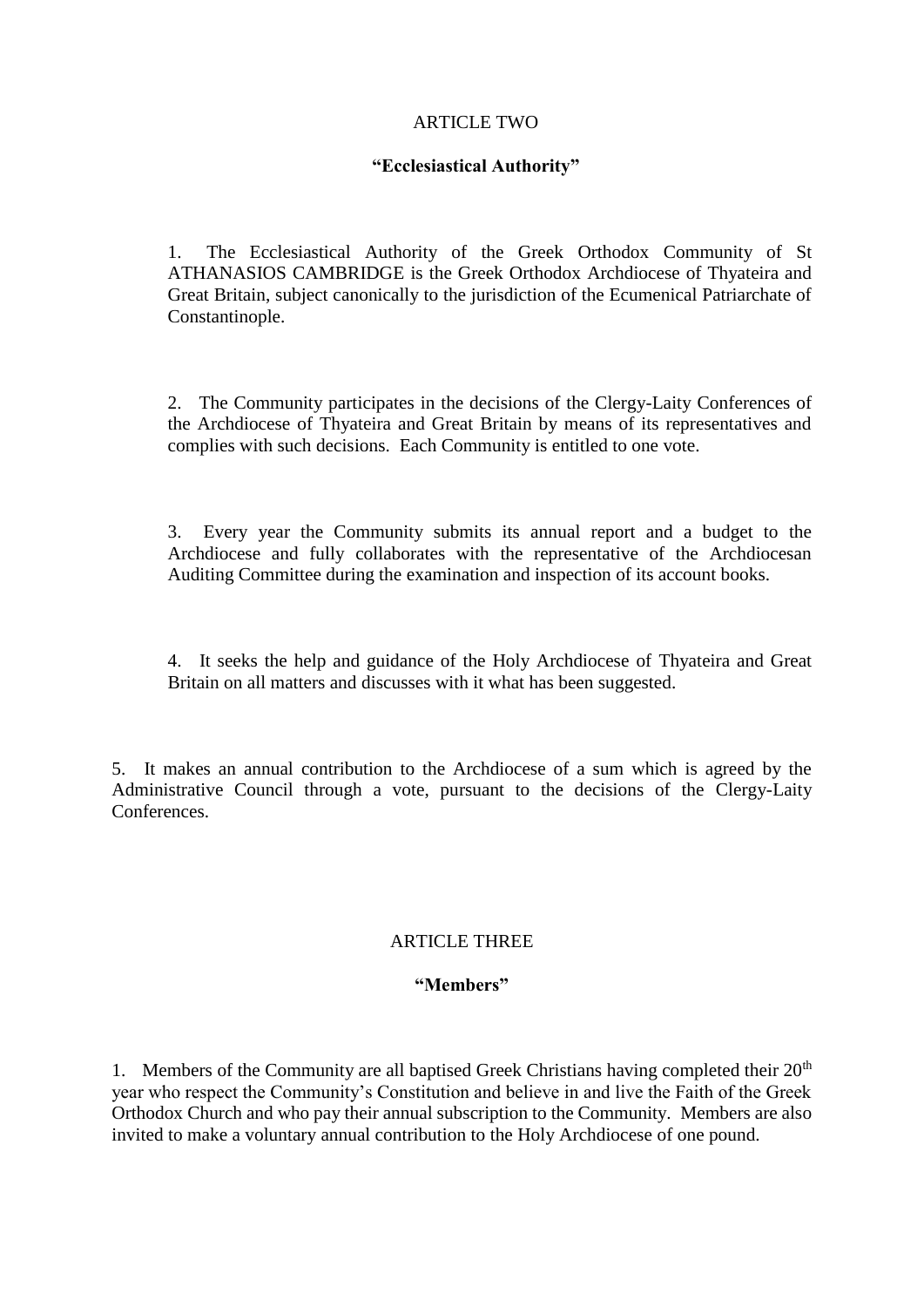# ARTICLE TWO

# **"Ecclesiastical Authority"**

1. The Ecclesiastical Authority of the Greek Orthodox Community of St ATHANASIOS CAMBRIDGE is the Greek Orthodox Archdiocese of Thyateira and Great Britain, subject canonically to the jurisdiction of the Ecumenical Patriarchate of Constantinople.

2. The Community participates in the decisions of the Clergy-Laity Conferences of the Archdiocese of Thyateira and Great Britain by means of its representatives and complies with such decisions. Each Community is entitled to one vote.

3. Every year the Community submits its annual report and a budget to the Archdiocese and fully collaborates with the representative of the Archdiocesan Auditing Committee during the examination and inspection of its account books.

4. It seeks the help and guidance of the Holy Archdiocese of Thyateira and Great Britain on all matters and discusses with it what has been suggested.

5. It makes an annual contribution to the Archdiocese of a sum which is agreed by the Administrative Council through a vote, pursuant to the decisions of the Clergy-Laity Conferences.

# ARTICLE THREE

# **"Members"**

1. Members of the Community are all baptised Greek Christians having completed their  $20<sup>th</sup>$ year who respect the Community's Constitution and believe in and live the Faith of the Greek Orthodox Church and who pay their annual subscription to the Community. Members are also invited to make a voluntary annual contribution to the Holy Archdiocese of one pound.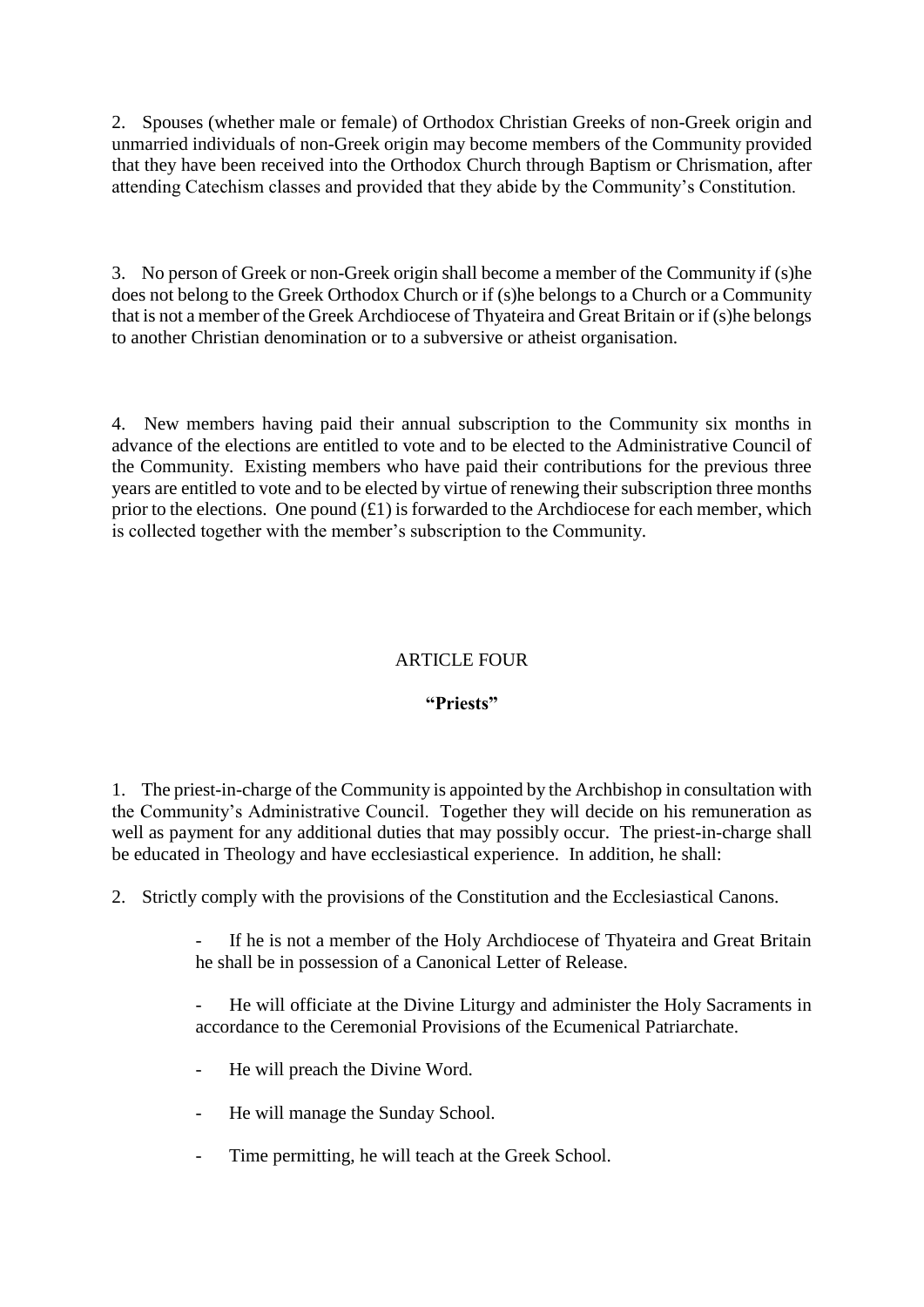2. Spouses (whether male or female) of Orthodox Christian Greeks of non-Greek origin and unmarried individuals of non-Greek origin may become members of the Community provided that they have been received into the Orthodox Church through Baptism or Chrismation, after attending Catechism classes and provided that they abide by the Community's Constitution.

3. No person of Greek or non-Greek origin shall become a member of the Community if (s)he does not belong to the Greek Orthodox Church or if (s)he belongs to a Church or a Community that is not a member of the Greek Archdiocese of Thyateira and Great Britain or if (s)he belongs to another Christian denomination or to a subversive or atheist organisation.

4. New members having paid their annual subscription to the Community six months in advance of the elections are entitled to vote and to be elected to the Administrative Council of the Community. Existing members who have paid their contributions for the previous three years are entitled to vote and to be elected by virtue of renewing their subscription three months prior to the elections. One pound  $(E1)$  is forwarded to the Archdiocese for each member, which is collected together with the member's subscription to the Community.

# ARTICLE FOUR

# **"Priests"**

1. The priest-in-charge of the Community is appointed by the Archbishop in consultation with the Community's Administrative Council. Together they will decide on his remuneration as well as payment for any additional duties that may possibly occur. The priest-in-charge shall be educated in Theology and have ecclesiastical experience. In addition, he shall:

2. Strictly comply with the provisions of the Constitution and the Ecclesiastical Canons.

If he is not a member of the Holy Archdiocese of Thyateira and Great Britain he shall be in possession of a Canonical Letter of Release.

He will officiate at the Divine Liturgy and administer the Holy Sacraments in accordance to the Ceremonial Provisions of the Ecumenical Patriarchate.

- He will preach the Divine Word.
- He will manage the Sunday School.
- Time permitting, he will teach at the Greek School.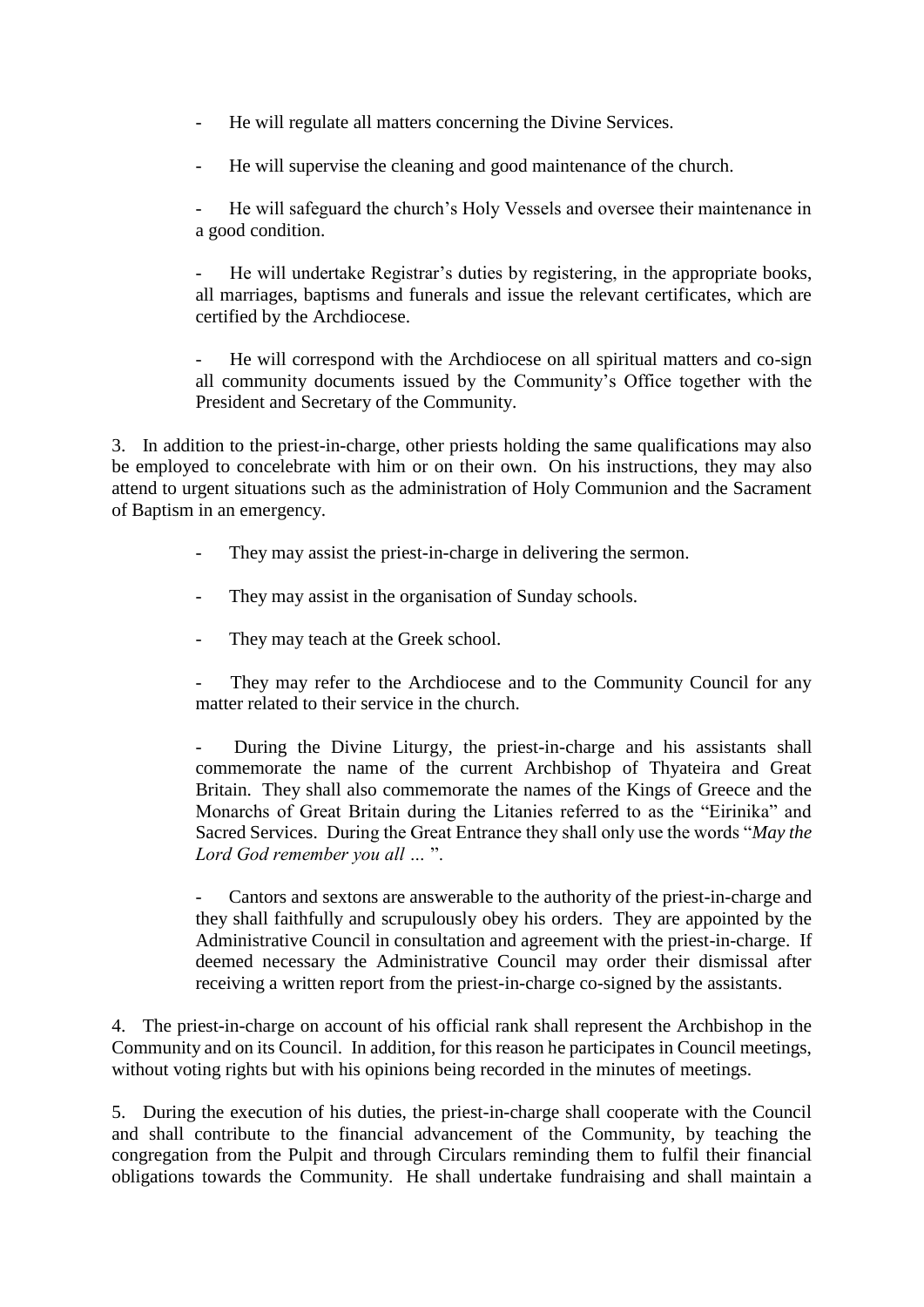- He will regulate all matters concerning the Divine Services.
- He will supervise the cleaning and good maintenance of the church.

He will safeguard the church's Holy Vessels and oversee their maintenance in a good condition.

He will undertake Registrar's duties by registering, in the appropriate books, all marriages, baptisms and funerals and issue the relevant certificates, which are certified by the Archdiocese.

He will correspond with the Archdiocese on all spiritual matters and co-sign all community documents issued by the Community's Office together with the President and Secretary of the Community.

3. In addition to the priest-in-charge, other priests holding the same qualifications may also be employed to concelebrate with him or on their own. On his instructions, they may also attend to urgent situations such as the administration of Holy Communion and the Sacrament of Baptism in an emergency.

- They may assist the priest-in-charge in delivering the sermon.
- They may assist in the organisation of Sunday schools.
- They may teach at the Greek school.
- They may refer to the Archdiocese and to the Community Council for any matter related to their service in the church.

During the Divine Liturgy, the priest-in-charge and his assistants shall commemorate the name of the current Archbishop of Thyateira and Great Britain. They shall also commemorate the names of the Kings of Greece and the Monarchs of Great Britain during the Litanies referred to as the "Eirinika" and Sacred Services. During the Great Entrance they shall only use the words "*May the Lord God remember you all …* ".

Cantors and sextons are answerable to the authority of the priest-in-charge and they shall faithfully and scrupulously obey his orders. They are appointed by the Administrative Council in consultation and agreement with the priest-in-charge. If deemed necessary the Administrative Council may order their dismissal after receiving a written report from the priest-in-charge co-signed by the assistants.

4. The priest-in-charge on account of his official rank shall represent the Archbishop in the Community and on its Council. In addition, for this reason he participates in Council meetings, without voting rights but with his opinions being recorded in the minutes of meetings.

5. During the execution of his duties, the priest-in-charge shall cooperate with the Council and shall contribute to the financial advancement of the Community, by teaching the congregation from the Pulpit and through Circulars reminding them to fulfil their financial obligations towards the Community. He shall undertake fundraising and shall maintain a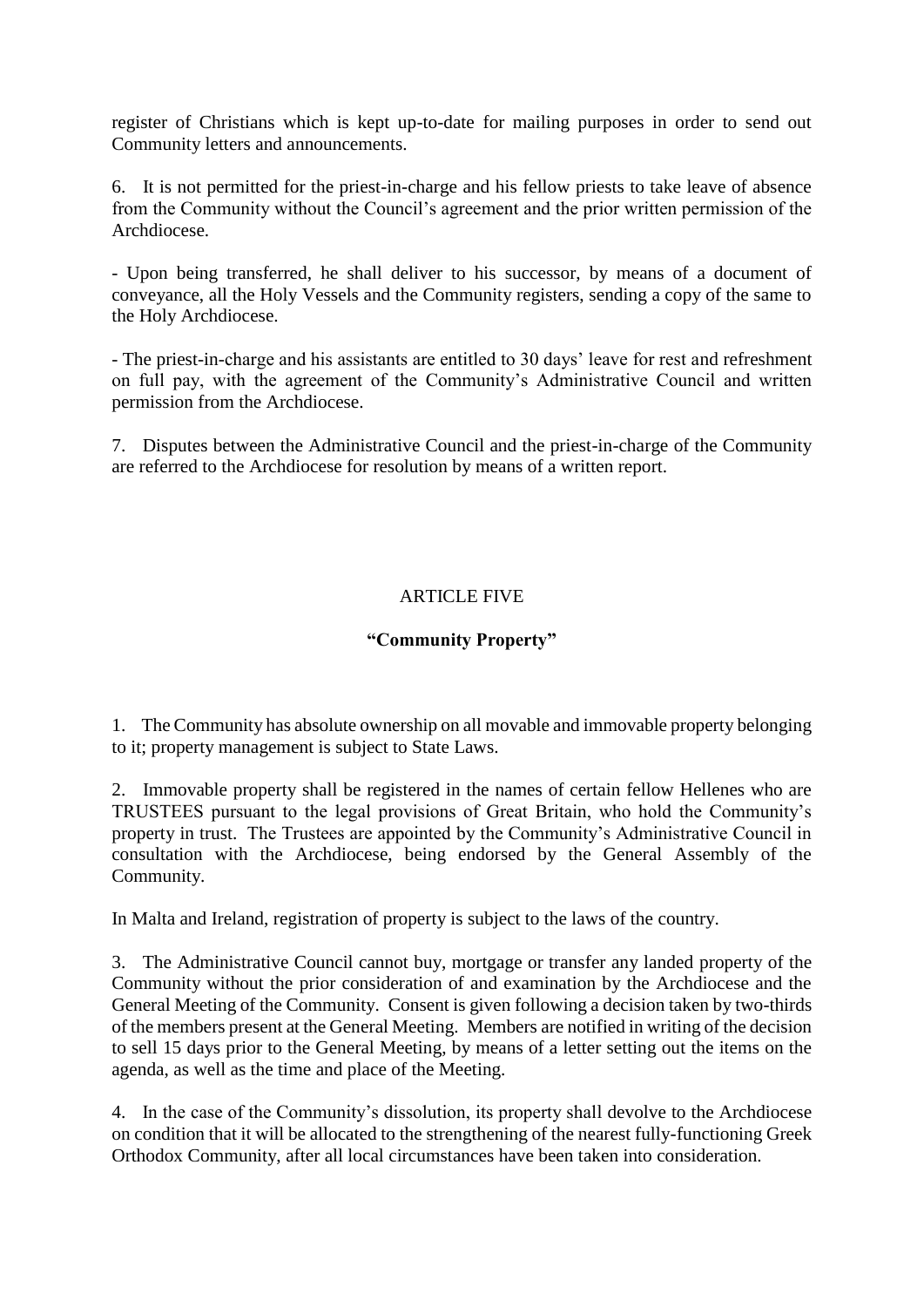register of Christians which is kept up-to-date for mailing purposes in order to send out Community letters and announcements.

6. It is not permitted for the priest-in-charge and his fellow priests to take leave of absence from the Community without the Council's agreement and the prior written permission of the Archdiocese.

- Upon being transferred, he shall deliver to his successor, by means of a document of conveyance, all the Holy Vessels and the Community registers, sending a copy of the same to the Holy Archdiocese.

- The priest-in-charge and his assistants are entitled to 30 days' leave for rest and refreshment on full pay, with the agreement of the Community's Administrative Council and written permission from the Archdiocese.

7. Disputes between the Administrative Council and the priest-in-charge of the Community are referred to the Archdiocese for resolution by means of a written report.

# ARTICLE FIVE

# **"Community Property"**

1. The Community has absolute ownership on all movable and immovable property belonging to it; property management is subject to State Laws.

2. Immovable property shall be registered in the names of certain fellow Hellenes who are TRUSTEES pursuant to the legal provisions of Great Britain, who hold the Community's property in trust. The Trustees are appointed by the Community's Administrative Council in consultation with the Archdiocese, being endorsed by the General Assembly of the Community.

In Malta and Ireland, registration of property is subject to the laws of the country.

3. The Administrative Council cannot buy, mortgage or transfer any landed property of the Community without the prior consideration of and examination by the Archdiocese and the General Meeting of the Community. Consent is given following a decision taken by two-thirds of the members present at the General Meeting. Members are notified in writing of the decision to sell 15 days prior to the General Meeting, by means of a letter setting out the items on the agenda, as well as the time and place of the Meeting.

4. In the case of the Community's dissolution, its property shall devolve to the Archdiocese on condition that it will be allocated to the strengthening of the nearest fully-functioning Greek Orthodox Community, after all local circumstances have been taken into consideration.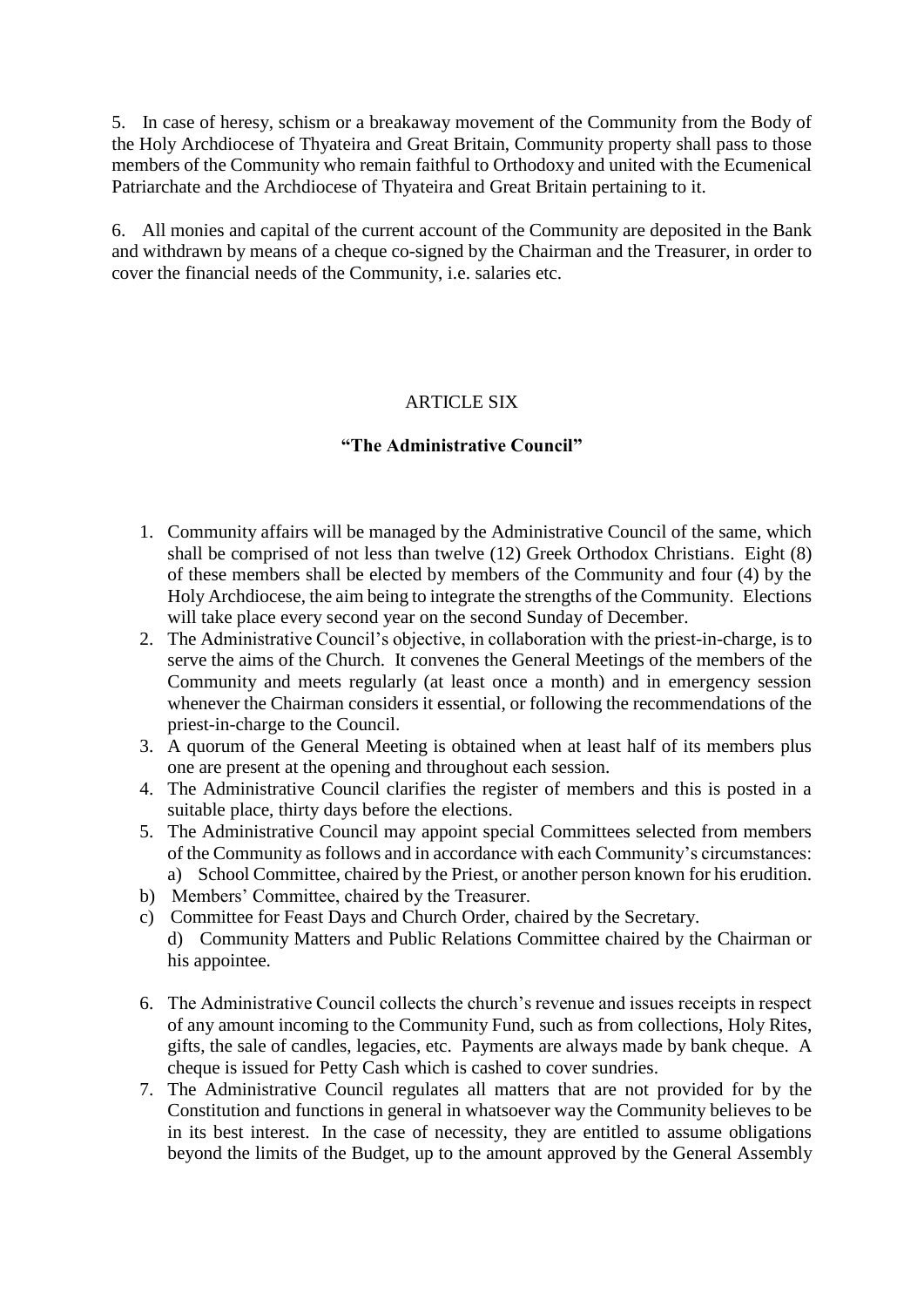5. In case of heresy, schism or a breakaway movement of the Community from the Body of the Holy Archdiocese of Thyateira and Great Britain, Community property shall pass to those members of the Community who remain faithful to Orthodoxy and united with the Ecumenical Patriarchate and the Archdiocese of Thyateira and Great Britain pertaining to it.

6. All monies and capital of the current account of the Community are deposited in the Bank and withdrawn by means of a cheque co-signed by the Chairman and the Treasurer, in order to cover the financial needs of the Community, i.e. salaries etc.

# **ARTICLE SIX**

# **"The Administrative Council"**

- 1. Community affairs will be managed by the Administrative Council of the same, which shall be comprised of not less than twelve (12) Greek Orthodox Christians. Eight (8) of these members shall be elected by members of the Community and four (4) by the Holy Archdiocese, the aim being to integrate the strengths of the Community. Elections will take place every second year on the second Sunday of December.
- 2. The Administrative Council's objective, in collaboration with the priest-in-charge, is to serve the aims of the Church. It convenes the General Meetings of the members of the Community and meets regularly (at least once a month) and in emergency session whenever the Chairman considers it essential, or following the recommendations of the priest-in-charge to the Council.
- 3. A quorum of the General Meeting is obtained when at least half of its members plus one are present at the opening and throughout each session.
- 4. The Administrative Council clarifies the register of members and this is posted in a suitable place, thirty days before the elections.
- 5. The Administrative Council may appoint special Committees selected from members of the Community as follows and in accordance with each Community's circumstances: a) School Committee, chaired by the Priest, or another person known for his erudition.
- b) Members' Committee, chaired by the Treasurer.
- c) Committee for Feast Days and Church Order, chaired by the Secretary. d) Community Matters and Public Relations Committee chaired by the Chairman or his appointee.
- 6. The Administrative Council collects the church's revenue and issues receipts in respect of any amount incoming to the Community Fund, such as from collections, Holy Rites, gifts, the sale of candles, legacies, etc. Payments are always made by bank cheque. A cheque is issued for Petty Cash which is cashed to cover sundries.
- 7. The Administrative Council regulates all matters that are not provided for by the Constitution and functions in general in whatsoever way the Community believes to be in its best interest. In the case of necessity, they are entitled to assume obligations beyond the limits of the Budget, up to the amount approved by the General Assembly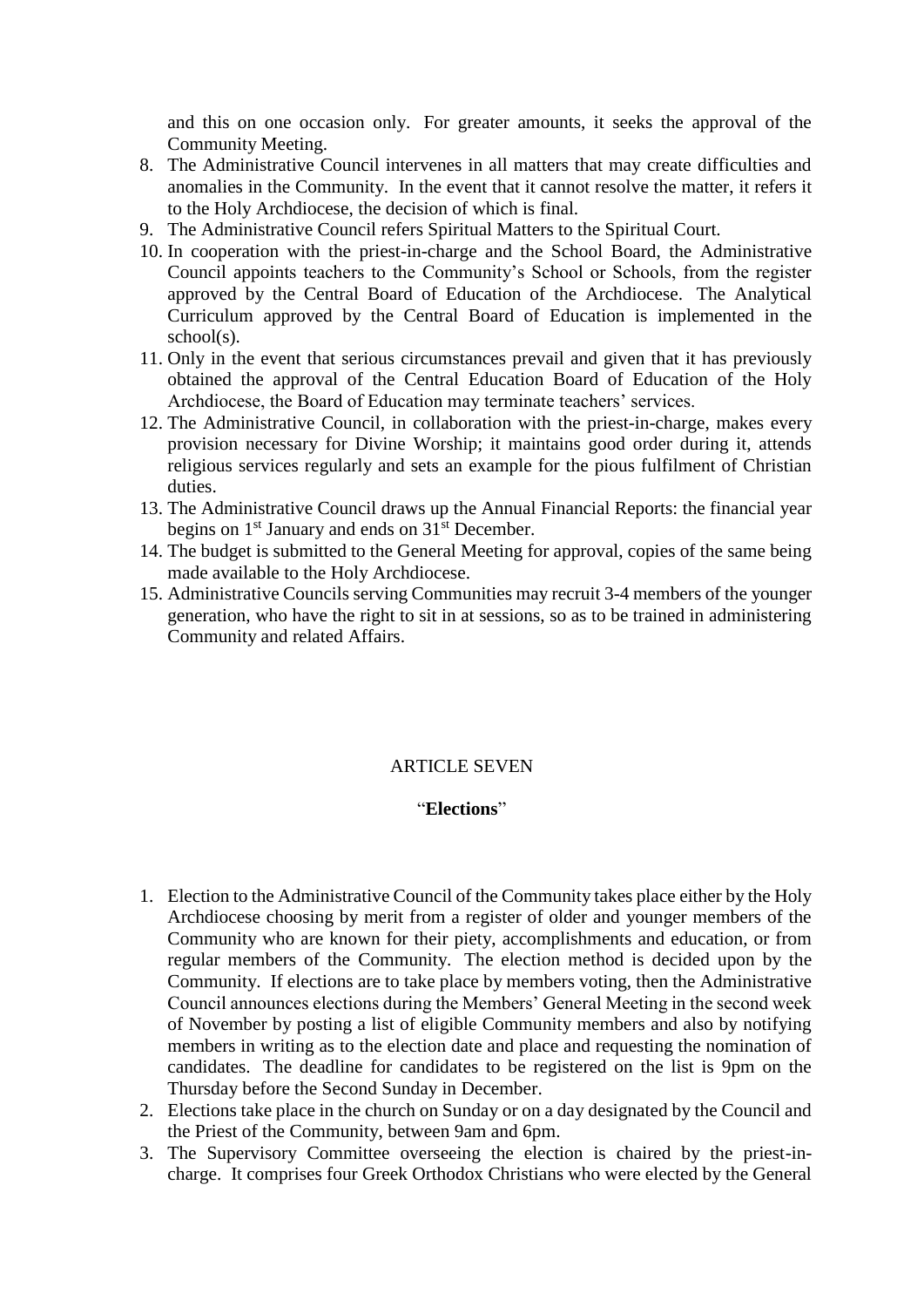and this on one occasion only. For greater amounts, it seeks the approval of the Community Meeting.

- 8. The Administrative Council intervenes in all matters that may create difficulties and anomalies in the Community. In the event that it cannot resolve the matter, it refers it to the Holy Archdiocese, the decision of which is final.
- 9. The Administrative Council refers Spiritual Matters to the Spiritual Court.
- 10. In cooperation with the priest-in-charge and the School Board, the Administrative Council appoints teachers to the Community's School or Schools, from the register approved by the Central Board of Education of the Archdiocese. The Analytical Curriculum approved by the Central Board of Education is implemented in the school(s).
- 11. Only in the event that serious circumstances prevail and given that it has previously obtained the approval of the Central Education Board of Education of the Holy Archdiocese, the Board of Education may terminate teachers' services.
- 12. The Administrative Council, in collaboration with the priest-in-charge, makes every provision necessary for Divine Worship; it maintains good order during it, attends religious services regularly and sets an example for the pious fulfilment of Christian duties.
- 13. The Administrative Council draws up the Annual Financial Reports: the financial year begins on  $1<sup>st</sup>$  January and ends on  $31<sup>st</sup>$  December.
- 14. The budget is submitted to the General Meeting for approval, copies of the same being made available to the Holy Archdiocese.
- 15. Administrative Councils serving Communities may recruit 3-4 members of the younger generation, who have the right to sit in at sessions, so as to be trained in administering Community and related Affairs.

### ARTICLE SEVEN

# "**Elections**"

- 1. Election to the Administrative Council of the Community takes place either by the Holy Archdiocese choosing by merit from a register of older and younger members of the Community who are known for their piety, accomplishments and education, or from regular members of the Community. The election method is decided upon by the Community. If elections are to take place by members voting, then the Administrative Council announces elections during the Members' General Meeting in the second week of November by posting a list of eligible Community members and also by notifying members in writing as to the election date and place and requesting the nomination of candidates. The deadline for candidates to be registered on the list is 9pm on the Thursday before the Second Sunday in December.
- 2. Elections take place in the church on Sunday or on a day designated by the Council and the Priest of the Community, between 9am and 6pm.
- 3. The Supervisory Committee overseeing the election is chaired by the priest-incharge. It comprises four Greek Orthodox Christians who were elected by the General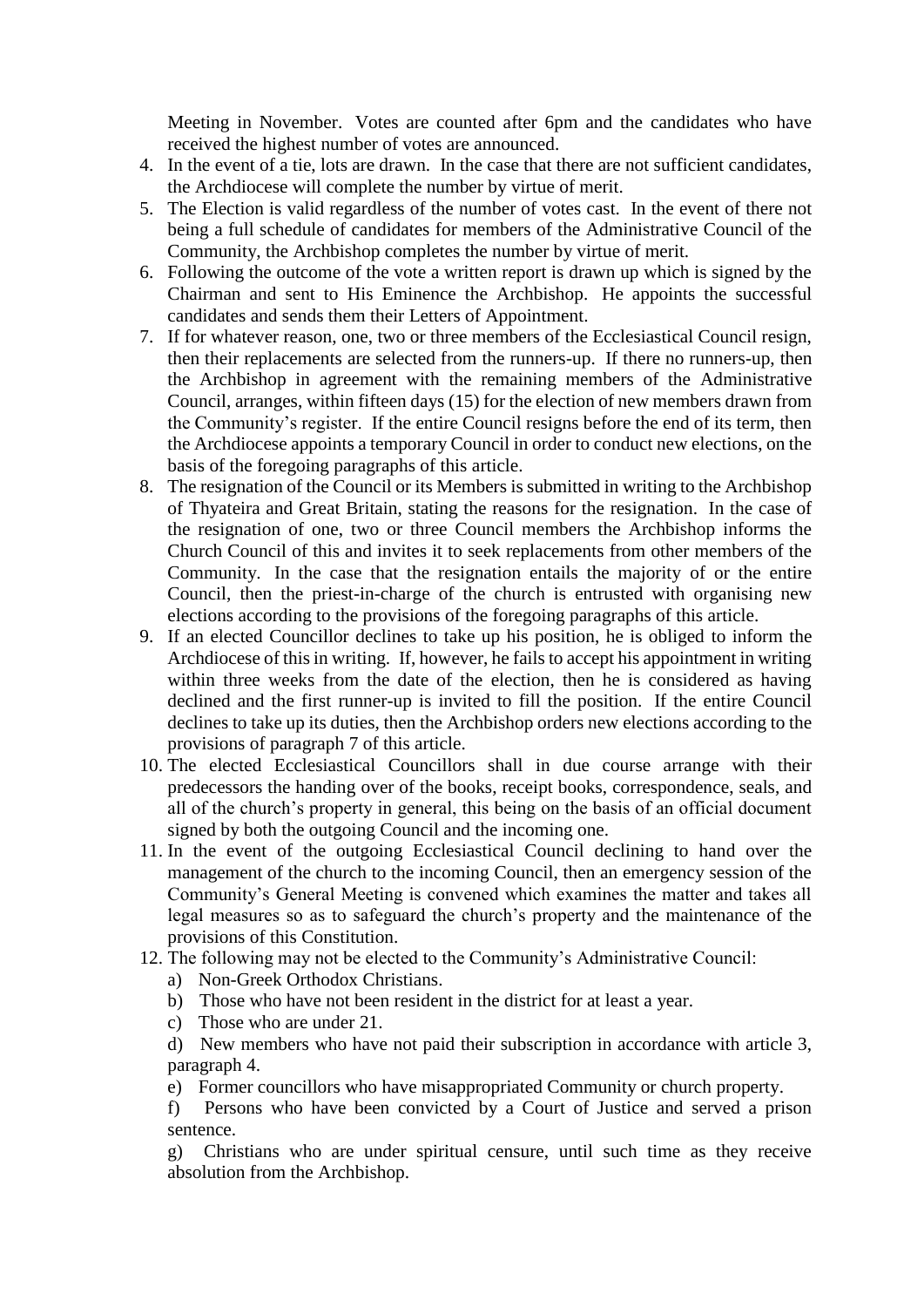Meeting in November. Votes are counted after 6pm and the candidates who have received the highest number of votes are announced.

- 4. In the event of a tie, lots are drawn. In the case that there are not sufficient candidates, the Archdiocese will complete the number by virtue of merit.
- 5. The Election is valid regardless of the number of votes cast. In the event of there not being a full schedule of candidates for members of the Administrative Council of the Community, the Archbishop completes the number by virtue of merit.
- 6. Following the outcome of the vote a written report is drawn up which is signed by the Chairman and sent to His Eminence the Archbishop. He appoints the successful candidates and sends them their Letters of Appointment.
- 7. If for whatever reason, one, two or three members of the Ecclesiastical Council resign, then their replacements are selected from the runners-up. If there no runners-up, then the Archbishop in agreement with the remaining members of the Administrative Council, arranges, within fifteen days (15) for the election of new members drawn from the Community's register. If the entire Council resigns before the end of its term, then the Archdiocese appoints a temporary Council in order to conduct new elections, on the basis of the foregoing paragraphs of this article.
- 8. The resignation of the Council or its Members is submitted in writing to the Archbishop of Thyateira and Great Britain, stating the reasons for the resignation. In the case of the resignation of one, two or three Council members the Archbishop informs the Church Council of this and invites it to seek replacements from other members of the Community. In the case that the resignation entails the majority of or the entire Council, then the priest-in-charge of the church is entrusted with organising new elections according to the provisions of the foregoing paragraphs of this article.
- 9. If an elected Councillor declines to take up his position, he is obliged to inform the Archdiocese of this in writing. If, however, he fails to accept his appointment in writing within three weeks from the date of the election, then he is considered as having declined and the first runner-up is invited to fill the position. If the entire Council declines to take up its duties, then the Archbishop orders new elections according to the provisions of paragraph 7 of this article.
- 10. The elected Ecclesiastical Councillors shall in due course arrange with their predecessors the handing over of the books, receipt books, correspondence, seals, and all of the church's property in general, this being on the basis of an official document signed by both the outgoing Council and the incoming one.
- 11. In the event of the outgoing Ecclesiastical Council declining to hand over the management of the church to the incoming Council, then an emergency session of the Community's General Meeting is convened which examines the matter and takes all legal measures so as to safeguard the church's property and the maintenance of the provisions of this Constitution.
- 12. The following may not be elected to the Community's Administrative Council:
	- a) Non-Greek Orthodox Christians.
	- b) Those who have not been resident in the district for at least a year.
	- c) Those who are under 21.

d) New members who have not paid their subscription in accordance with article 3, paragraph 4.

e) Former councillors who have misappropriated Community or church property.

f) Persons who have been convicted by a Court of Justice and served a prison sentence.

g) Christians who are under spiritual censure, until such time as they receive absolution from the Archbishop.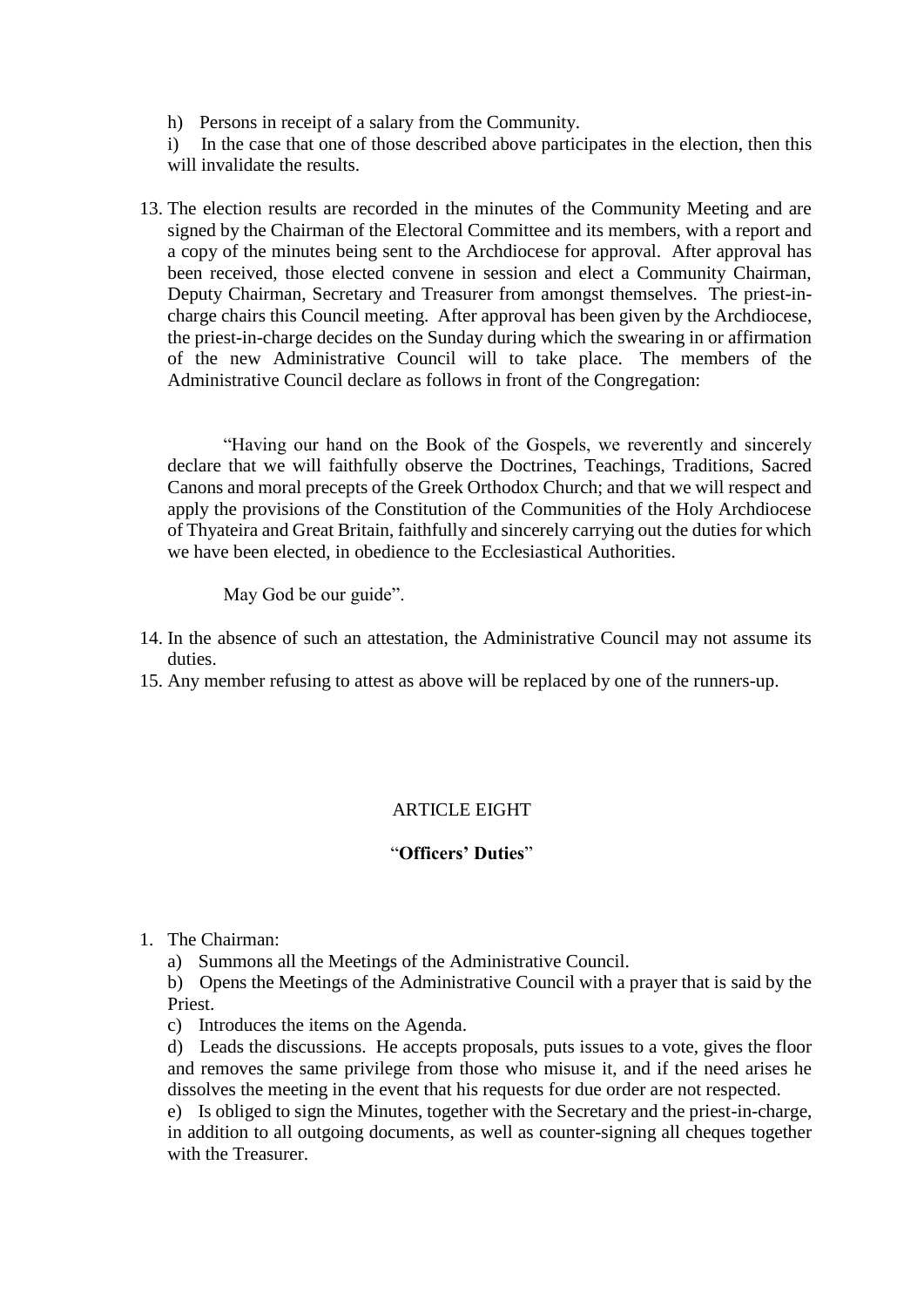h) Persons in receipt of a salary from the Community.

i) In the case that one of those described above participates in the election, then this will invalidate the results.

13. The election results are recorded in the minutes of the Community Meeting and are signed by the Chairman of the Electoral Committee and its members, with a report and a copy of the minutes being sent to the Archdiocese for approval. After approval has been received, those elected convene in session and elect a Community Chairman, Deputy Chairman, Secretary and Treasurer from amongst themselves. The priest-incharge chairs this Council meeting. After approval has been given by the Archdiocese, the priest-in-charge decides on the Sunday during which the swearing in or affirmation of the new Administrative Council will to take place. The members of the Administrative Council declare as follows in front of the Congregation:

"Having our hand on the Book of the Gospels, we reverently and sincerely declare that we will faithfully observe the Doctrines, Teachings, Traditions, Sacred Canons and moral precepts of the Greek Orthodox Church; and that we will respect and apply the provisions of the Constitution of the Communities of the Holy Archdiocese of Thyateira and Great Britain, faithfully and sincerely carrying out the duties for which we have been elected, in obedience to the Ecclesiastical Authorities.

May God be our guide".

- 14. In the absence of such an attestation, the Administrative Council may not assume its duties.
- 15. Any member refusing to attest as above will be replaced by one of the runners-up.

# ARTICLE EIGHT

# "**Officers' Duties**"

- 1. The Chairman:
	- a) Summons all the Meetings of the Administrative Council.

b) Opens the Meetings of the Administrative Council with a prayer that is said by the Priest.

c) Introduces the items on the Agenda.

d) Leads the discussions. He accepts proposals, puts issues to a vote, gives the floor and removes the same privilege from those who misuse it, and if the need arises he dissolves the meeting in the event that his requests for due order are not respected.

e) Is obliged to sign the Minutes, together with the Secretary and the priest-in-charge, in addition to all outgoing documents, as well as counter-signing all cheques together with the Treasurer.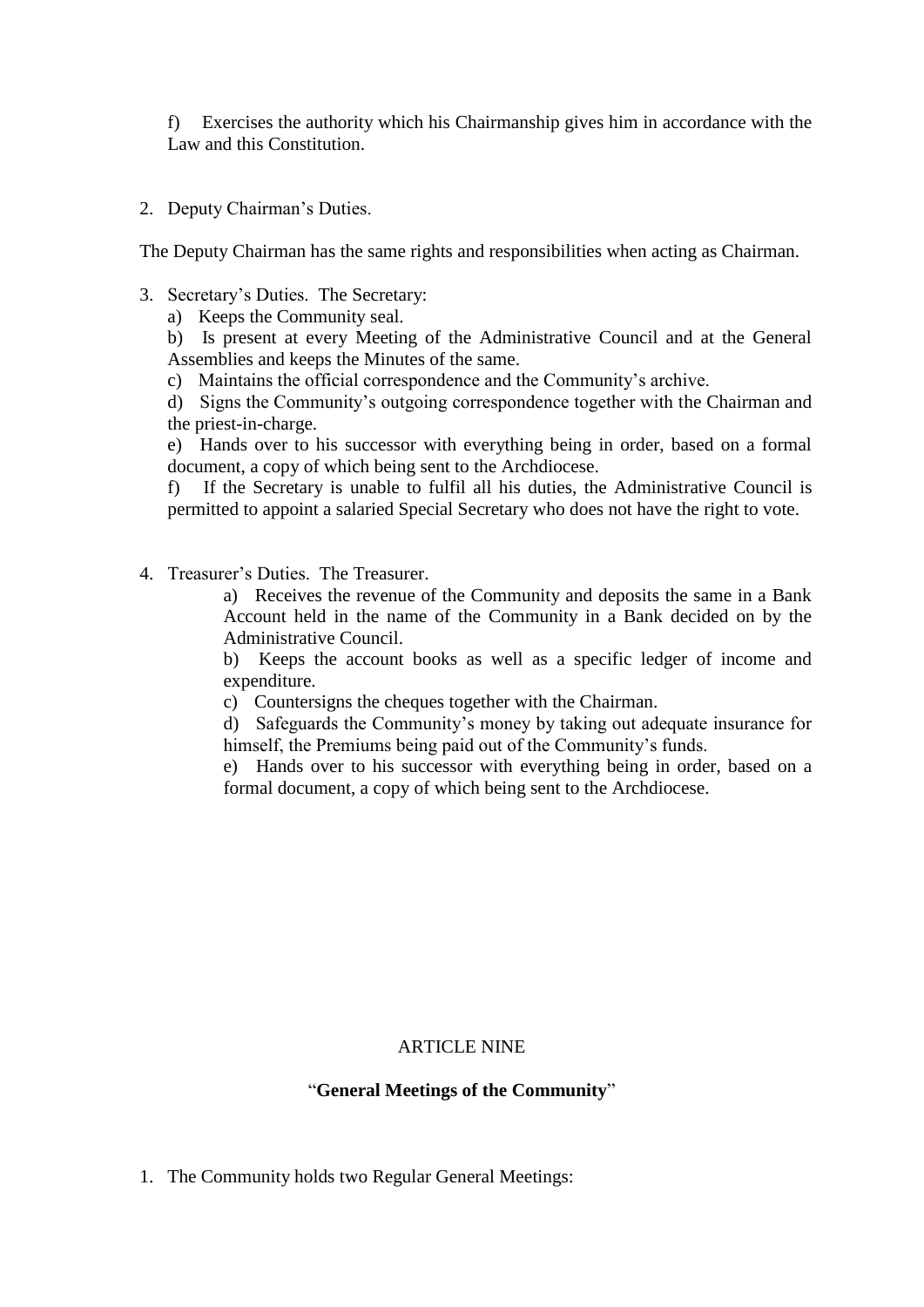f) Exercises the authority which his Chairmanship gives him in accordance with the Law and this Constitution.

2. Deputy Chairman's Duties.

The Deputy Chairman has the same rights and responsibilities when acting as Chairman.

3. Secretary's Duties. The Secretary:

a) Keeps the Community seal.

b) Is present at every Meeting of the Administrative Council and at the General Assemblies and keeps the Minutes of the same.

c) Maintains the official correspondence and the Community's archive.

d) Signs the Community's outgoing correspondence together with the Chairman and the priest-in-charge.

e) Hands over to his successor with everything being in order, based on a formal document, a copy of which being sent to the Archdiocese.

f) If the Secretary is unable to fulfil all his duties, the Administrative Council is permitted to appoint a salaried Special Secretary who does not have the right to vote.

4. Treasurer's Duties. The Treasurer.

a) Receives the revenue of the Community and deposits the same in a Bank Account held in the name of the Community in a Bank decided on by the Administrative Council.

b) Keeps the account books as well as a specific ledger of income and expenditure.

c) Countersigns the cheques together with the Chairman.

d) Safeguards the Community's money by taking out adequate insurance for himself, the Premiums being paid out of the Community's funds.

e) Hands over to his successor with everything being in order, based on a formal document, a copy of which being sent to the Archdiocese.

# ARTICLE NINE

## "**General Meetings of the Community**"

1. The Community holds two Regular General Meetings: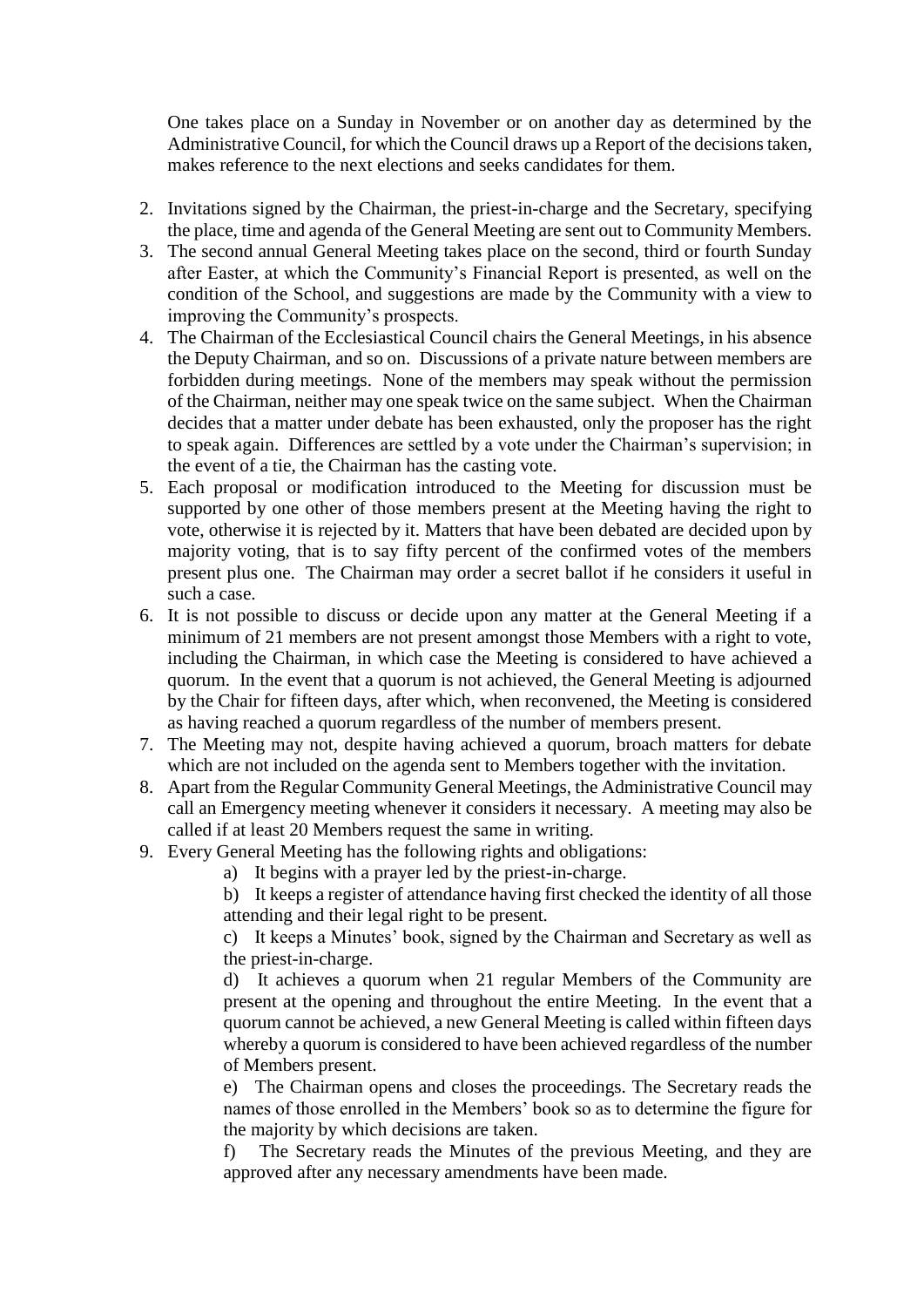One takes place on a Sunday in November or on another day as determined by the Administrative Council, for which the Council draws up a Report of the decisions taken, makes reference to the next elections and seeks candidates for them.

- 2. Invitations signed by the Chairman, the priest-in-charge and the Secretary, specifying the place, time and agenda of the General Meeting are sent out to Community Members.
- 3. The second annual General Meeting takes place on the second, third or fourth Sunday after Easter, at which the Community's Financial Report is presented, as well on the condition of the School, and suggestions are made by the Community with a view to improving the Community's prospects.
- 4. The Chairman of the Ecclesiastical Council chairs the General Meetings, in his absence the Deputy Chairman, and so on. Discussions of a private nature between members are forbidden during meetings. None of the members may speak without the permission of the Chairman, neither may one speak twice on the same subject. When the Chairman decides that a matter under debate has been exhausted, only the proposer has the right to speak again. Differences are settled by a vote under the Chairman's supervision; in the event of a tie, the Chairman has the casting vote.
- 5. Each proposal or modification introduced to the Meeting for discussion must be supported by one other of those members present at the Meeting having the right to vote, otherwise it is rejected by it. Matters that have been debated are decided upon by majority voting, that is to say fifty percent of the confirmed votes of the members present plus one. The Chairman may order a secret ballot if he considers it useful in such a case.
- 6. It is not possible to discuss or decide upon any matter at the General Meeting if a minimum of 21 members are not present amongst those Members with a right to vote, including the Chairman, in which case the Meeting is considered to have achieved a quorum. In the event that a quorum is not achieved, the General Meeting is adjourned by the Chair for fifteen days, after which, when reconvened, the Meeting is considered as having reached a quorum regardless of the number of members present.
- 7. The Meeting may not, despite having achieved a quorum, broach matters for debate which are not included on the agenda sent to Members together with the invitation.
- 8. Apart from the Regular Community General Meetings, the Administrative Council may call an Emergency meeting whenever it considers it necessary. A meeting may also be called if at least 20 Members request the same in writing.
- 9. Every General Meeting has the following rights and obligations:
	- a) It begins with a prayer led by the priest-in-charge.

b) It keeps a register of attendance having first checked the identity of all those attending and their legal right to be present.

c) It keeps a Minutes' book, signed by the Chairman and Secretary as well as the priest-in-charge.

d) It achieves a quorum when 21 regular Members of the Community are present at the opening and throughout the entire Meeting. In the event that a quorum cannot be achieved, a new General Meeting is called within fifteen days whereby a quorum is considered to have been achieved regardless of the number of Members present.

e) The Chairman opens and closes the proceedings. The Secretary reads the names of those enrolled in the Members' book so as to determine the figure for the majority by which decisions are taken.

f) The Secretary reads the Minutes of the previous Meeting, and they are approved after any necessary amendments have been made.